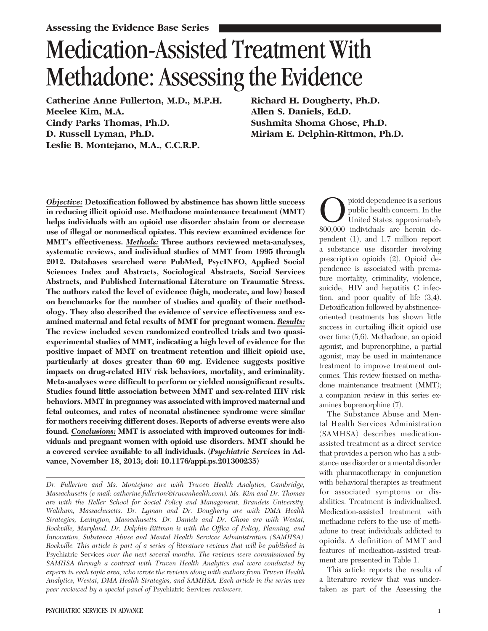# Medication-Assisted Treatment With Methadone: Assessing the Evidence

Catherine Anne Fullerton, M.D., M.P.H. Meelee Kim, M.A. Cindy Parks Thomas, Ph.D. D. Russell Lyman, Ph.D. Leslie B. Montejano, M.A., C.C.R.P.

Richard H. Dougherty, Ph.D. Allen S. Daniels, Ed.D. Sushmita Shoma Ghose, Ph.D. Miriam E. Delphin-Rittmon, Ph.D.

Objective: Detoxification followed by abstinence has shown little success in reducing illicit opioid use. Methadone maintenance treatment (MMT) helps individuals with an opioid use disorder abstain from or decrease use of illegal or nonmedical opiates. This review examined evidence for MMT's effectiveness. Methods: Three authors reviewed meta-analyses, systematic reviews, and individual studies of MMT from 1995 through 2012. Databases searched were PubMed, PsycINFO, Applied Social Sciences Index and Abstracts, Sociological Abstracts, Social Services Abstracts, and Published International Literature on Traumatic Stress. The authors rated the level of evidence (high, moderate, and low) based on benchmarks for the number of studies and quality of their methodology. They also described the evidence of service effectiveness and examined maternal and fetal results of MMT for pregnant women. Results: The review included seven randomized controlled trials and two quasiexperimental studies of MMT, indicating a high level of evidence for the positive impact of MMT on treatment retention and illicit opioid use, particularly at doses greater than 60 mg. Evidence suggests positive impacts on drug-related HIV risk behaviors, mortality, and criminality. Meta-analyses were difficult to perform or yielded nonsignificant results. Studies found little association between MMT and sex-related HIV risk behaviors. MMT in pregnancy was associated with improved maternal and fetal outcomes, and rates of neonatal abstinence syndrome were similar for mothers receiving different doses. Reports of adverse events were also found. Conclusions: MMT is associated with improved outcomes for individuals and pregnant women with opioid use disorders. MMT should be a covered service available to all individuals. (Psychiatric Services in Advance, November 18, 2013; doi: 10.1176/appi.ps.201300235)

 $\begin{array}{c} \displaystyle\bigodot \text{piod dependence is a serious public health concern. In the United States, approximately 800,000 individuals are heroin de$ pioid dependence is a serious public health concern. In the United States, approximately pendent (1), and 1.7 million report a substance use disorder involving prescription opioids (2). Opioid dependence is associated with premature mortality, criminality, violence, suicide, HIV and hepatitis C infection, and poor quality of life (3,4). Detoxification followed by abstinenceoriented treatments has shown little success in curtailing illicit opioid use over time (5,6). Methadone, an opioid agonist, and buprenorphine, a partial agonist, may be used in maintenance treatment to improve treatment outcomes. This review focused on methadone maintenance treatment (MMT); a companion review in this series examines buprenorphine (7).

The Substance Abuse and Mental Health Services Administration (SAMHSA) describes medicationassisted treatment as a direct service that provides a person who has a substance use disorder or a mental disorder with pharmacotherapy in conjunction with behavioral therapies as treatment for associated symptoms or disabilities. Treatment is individualized. Medication-assisted treatment with methadone refers to the use of methadone to treat individuals addicted to opioids. A definition of MMT and features of medication-assisted treatment are presented in Table 1.

This article reports the results of a literature review that was undertaken as part of the Assessing the

Dr. Fullerton and Ms. Montejano are with Truven Health Analytics, Cambridge, Massachusetts (e-mail: catherine.fullerton@truvenhealth.com). Ms. Kim and Dr. Thomas are with the Heller School for Social Policy and Management, Brandeis University, Waltham, Massachusetts. Dr. Lyman and Dr. Dougherty are with DMA Health Strategies, Lexington, Massachusetts. Dr. Daniels and Dr. Ghose are with Westat, Rockville, Maryland. Dr. Delphin-Rittmon is with the Office of Policy, Planning, and Innovation, Substance Abuse and Mental Health Services Administration (SAMHSA), Rockville. This article is part of a series of literature reviews that will be published in Psychiatric Services over the next several months. The reviews were commissioned by SAMHSA through a contract with Truven Health Analytics and were conducted by experts in each topic area, who wrote the reviews along with authors from Truven Health Analytics, Westat, DMA Health Strategies, and SAMHSA. Each article in the series was peer reviewed by a special panel of Psychiatric Services reviewers.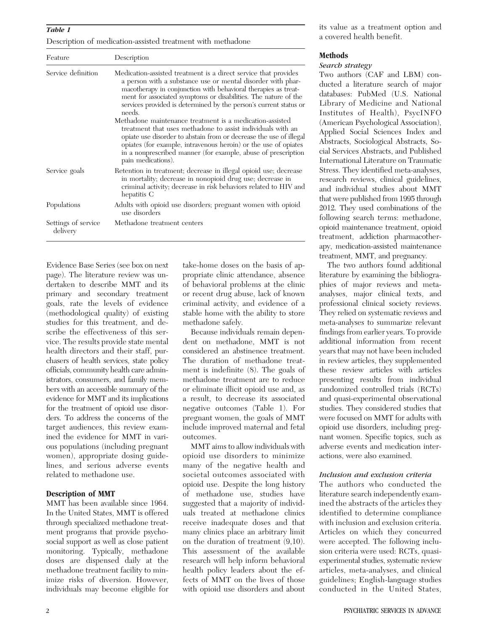Description of medication-assisted treatment with methadone

| Feature                         | Description                                                                                                                                                                                                                                                                                                                                                                                                                                                                                                                                                                                                                                                                                                   |
|---------------------------------|---------------------------------------------------------------------------------------------------------------------------------------------------------------------------------------------------------------------------------------------------------------------------------------------------------------------------------------------------------------------------------------------------------------------------------------------------------------------------------------------------------------------------------------------------------------------------------------------------------------------------------------------------------------------------------------------------------------|
| Service definition              | Medication-assisted treatment is a direct service that provides<br>a person with a substance use or mental disorder with phar-<br>macotherapy in conjunction with behavioral therapies as treat-<br>ment for associated symptoms or disabilities. The nature of the<br>services provided is determined by the person's current status or<br>needs.<br>Methadone maintenance treatment is a medication-assisted<br>treatment that uses methadone to assist individuals with an<br>opiate use disorder to abstain from or decrease the use of illegal<br>opiates (for example, intravenous heroin) or the use of opiates<br>in a nonprescribed manner (for example, abuse of prescription<br>pain medications). |
| Service goals                   | Retention in treatment; decrease in illegal opioid use; decrease<br>in mortality; decrease in nonopioid drug use; decrease in<br>criminal activity; decrease in risk behaviors related to HIV and<br>hepatitis C                                                                                                                                                                                                                                                                                                                                                                                                                                                                                              |
| Populations                     | Adults with opioid use disorders; pregnant women with opioid<br>use disorders                                                                                                                                                                                                                                                                                                                                                                                                                                                                                                                                                                                                                                 |
| Settings of service<br>delivery | Methadone treatment centers                                                                                                                                                                                                                                                                                                                                                                                                                                                                                                                                                                                                                                                                                   |

Evidence Base Series (see box on next page). The literature review was undertaken to describe MMT and its primary and secondary treatment goals, rate the levels of evidence (methodological quality) of existing studies for this treatment, and describe the effectiveness of this service. The results provide state mental health directors and their staff, purchasers of health services, state policy officials, community health care administrators, consumers, and family members with an accessible summary of the evidence for MMT and its implications for the treatment of opioid use disorders. To address the concerns of the target audiences, this review examined the evidence for MMT in various populations (including pregnant women), appropriate dosing guidelines, and serious adverse events related to methadone use.

#### Description of MMT

MMT has been available since 1964. In the United States, MMT is offered through specialized methadone treatment programs that provide psychosocial support as well as close patient monitoring. Typically, methadone doses are dispensed daily at the methadone treatment facility to minimize risks of diversion. However, individuals may become eligible for

take-home doses on the basis of appropriate clinic attendance, absence of behavioral problems at the clinic or recent drug abuse, lack of known criminal activity, and evidence of a stable home with the ability to store methadone safely.

Because individuals remain dependent on methadone, MMT is not considered an abstinence treatment. The duration of methadone treatment is indefinite (8). The goals of methadone treatment are to reduce or eliminate illicit opioid use and, as a result, to decrease its associated negative outcomes (Table 1). For pregnant women, the goals of MMT include improved maternal and fetal outcomes.

MMT aims to allow individuals with opioid use disorders to minimize many of the negative health and societal outcomes associated with opioid use. Despite the long history of methadone use, studies have suggested that a majority of individuals treated at methadone clinics receive inadequate doses and that many clinics place an arbitrary limit on the duration of treatment (9,10). This assessment of the available research will help inform behavioral health policy leaders about the effects of MMT on the lives of those with opioid use disorders and about its value as a treatment option and a covered health benefit.

### Methods

#### Search strategy

Two authors (CAF and LBM) conducted a literature search of major databases: PubMed (U.S. National Library of Medicine and National Institutes of Health), PsycINFO (American Psychological Association), Applied Social Sciences Index and Abstracts, Sociological Abstracts, Social Services Abstracts, and Published International Literature on Traumatic Stress. They identified meta-analyses, research reviews, clinical guidelines, and individual studies about MMT that were published from 1995 through 2012. They used combinations of the following search terms: methadone, opioid maintenance treatment, opioid treatment, addiction pharmacotherapy, medication-assisted maintenance treatment, MMT, and pregnancy.

The two authors found additional literature by examining the bibliographies of major reviews and metaanalyses, major clinical texts, and professional clinical society reviews. They relied on systematic reviews and meta-analyses to summarize relevant findings from earlier years. To provide additional information from recent years that may not have been included in review articles, they supplemented these review articles with articles presenting results from individual randomized controlled trials (RCTs) and quasi-experimental observational studies. They considered studies that were focused on MMT for adults with opioid use disorders, including pregnant women. Specific topics, such as adverse events and medication interactions, were also examined.

#### Inclusion and exclusion criteria

The authors who conducted the literature search independently examined the abstracts of the articles they identified to determine compliance with inclusion and exclusion criteria. Articles on which they concurred were accepted. The following inclusion criteria were used: RCTs, quasiexperimental studies, systematic review articles, meta-analyses, and clinical guidelines; English-language studies conducted in the United States,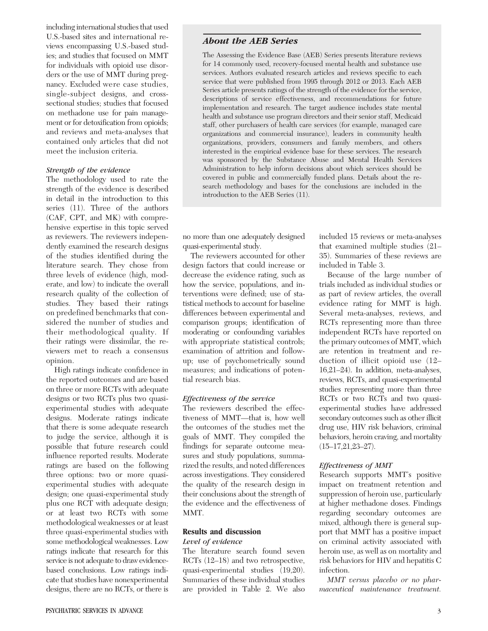including international studies that used U.S.-based sites and international reviews encompassing U.S.-based studies; and studies that focused on MMT for individuals with opioid use disorders or the use of MMT during pregnancy. Excluded were case studies, single-subject designs, and crosssectional studies; studies that focused on methadone use for pain management or for detoxification from opioids; and reviews and meta-analyses that contained only articles that did not meet the inclusion criteria.

#### Strength of the evidence

The methodology used to rate the strength of the evidence is described in detail in the introduction to this series (11). Three of the authors (CAF, CPT, and MK) with comprehensive expertise in this topic served as reviewers. The reviewers independently examined the research designs of the studies identified during the literature search. They chose from three levels of evidence (high, moderate, and low) to indicate the overall research quality of the collection of studies. They based their ratings on predefined benchmarks that considered the number of studies and their methodological quality. If their ratings were dissimilar, the reviewers met to reach a consensus opinion.

High ratings indicate confidence in the reported outcomes and are based on three or more RCTs with adequate designs or two RCTs plus two quasiexperimental studies with adequate designs. Moderate ratings indicate that there is some adequate research to judge the service, although it is possible that future research could influence reported results. Moderate ratings are based on the following three options: two or more quasiexperimental studies with adequate design; one quasi-experimental study plus one RCT with adequate design; or at least two RCTs with some methodological weaknesses or at least three quasi-experimental studies with some methodological weaknesses. Low ratings indicate that research for this service is not adequate to draw evidencebased conclusions. Low ratings indicate that studies have nonexperimental designs, there are no RCTs, or there is

# About the AEB Series

The Assessing the Evidence Base (AEB) Series presents literature reviews for 14 commonly used, recovery-focused mental health and substance use services. Authors evaluated research articles and reviews specific to each service that were published from 1995 through 2012 or 2013. Each AEB Series article presents ratings of the strength of the evidence for the service, descriptions of service effectiveness, and recommendations for future implementation and research. The target audience includes state mental health and substance use program directors and their senior staff, Medicaid staff, other purchasers of health care services (for example, managed care organizations and commercial insurance), leaders in community health organizations, providers, consumers and family members, and others interested in the empirical evidence base for these services. The research was sponsored by the Substance Abuse and Mental Health Services Administration to help inform decisions about which services should be covered in public and commercially funded plans. Details about the research methodology and bases for the conclusions are included in the introduction to the AEB Series (11).

no more than one adequately designed quasi-experimental study.

The reviewers accounted for other design factors that could increase or decrease the evidence rating, such as how the service, populations, and interventions were defined; use of statistical methods to account for baseline differences between experimental and comparison groups; identification of moderating or confounding variables with appropriate statistical controls; examination of attrition and followup; use of psychometrically sound measures; and indications of potential research bias.

# Effectiveness of the service

The reviewers described the effectiveness of MMT—that is, how well the outcomes of the studies met the goals of MMT. They compiled the findings for separate outcome measures and study populations, summarized the results, and noted differences across investigations. They considered the quality of the research design in their conclusions about the strength of the evidence and the effectiveness of MMT.

# Results and discussion Level of evidence

The literature search found seven RCTs (12–18) and two retrospective, quasi-experimental studies (19,20). Summaries of these individual studies are provided in Table 2. We also included 15 reviews or meta-analyses that examined multiple studies (21– 35). Summaries of these reviews are included in Table 3.

Because of the large number of trials included as individual studies or as part of review articles, the overall evidence rating for MMT is high. Several meta-analyses, reviews, and RCTs representing more than three independent RCTs have reported on the primary outcomes of MMT, which are retention in treatment and reduction of illicit opioid use (12– 16,21–24). In addition, meta-analyses, reviews, RCTs, and quasi-experimental studies representing more than three RCTs or two RCTs and two quasiexperimental studies have addressed secondary outcomes such as other illicit drug use, HIV risk behaviors, criminal behaviors, heroin craving, and mortality (15–17,21,23–27).

# Effectiveness of MMT

Research supports MMT's positive impact on treatment retention and suppression of heroin use, particularly at higher methadone doses. Findings regarding secondary outcomes are mixed, although there is general support that MMT has a positive impact on criminal activity associated with heroin use, as well as on mortality and risk behaviors for HIV and hepatitis C infection.

MMT versus placebo or no pharmaceutical maintenance treatment.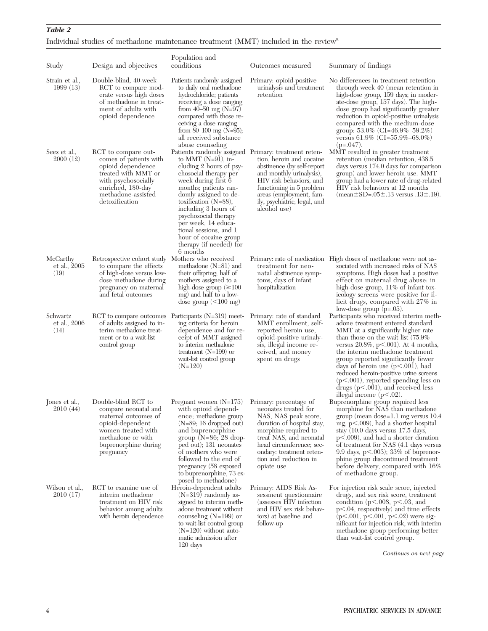| Individual studies of methadone maintenance treatment (MMT) included in the review <sup>a</sup> |  |
|-------------------------------------------------------------------------------------------------|--|
|-------------------------------------------------------------------------------------------------|--|

| Study                            | Design and objectives                                                                                                                                                         | Population and<br>conditions                                                                                                                                                                                                                                                                                                                                                                           | Outcomes measured                                                                                                                                                                                                            | Summary of findings                                                                                                                                                                                                                                                                                                                                                                                                                                                                                          |
|----------------------------------|-------------------------------------------------------------------------------------------------------------------------------------------------------------------------------|--------------------------------------------------------------------------------------------------------------------------------------------------------------------------------------------------------------------------------------------------------------------------------------------------------------------------------------------------------------------------------------------------------|------------------------------------------------------------------------------------------------------------------------------------------------------------------------------------------------------------------------------|--------------------------------------------------------------------------------------------------------------------------------------------------------------------------------------------------------------------------------------------------------------------------------------------------------------------------------------------------------------------------------------------------------------------------------------------------------------------------------------------------------------|
| Strain et al.,<br>1999(13)       | Double-blind, 40-week<br>RCT to compare mod-<br>erate versus high doses<br>of methadone in treat-<br>ment of adults with<br>opioid dependence                                 | Patients randomly assigned<br>to daily oral methadone<br>hydrochloride; patients<br>receiving a dose ranging<br>from 40–50 mg $(N=97)$<br>compared with those re-<br>ceiving a dose ranging<br>from $\bar{80}$ -100 mg ( $\bar{N}$ =95);<br>all received substance<br>abuse counseling                                                                                                                 | Primary: opioid-positive<br>urinalysis and treatment<br>retention                                                                                                                                                            | No differences in treatment retention<br>through week 40 (mean retention in<br>high-dose group, 159 days; in moder-<br>ate-dose group, 157 days). The high-<br>dose group had significantly greater<br>reduction in opioid-positive urinalysis<br>compared with the medium-dose<br>group: $53.0\%$ (CI=46.9%-59.2%)<br>versus $61.9\%$ (CI=55.9%-68.0%)                                                                                                                                                      |
| Sees et al.,<br>2000(12)         | RCT to compare out-<br>comes of patients with<br>opioid dependence<br>treated with MMT or<br>with psychosocially<br>enriched, 180-day<br>methadone-assisted<br>detoxification | Patients randomly assigned Primary: treatment reten-<br>to MMT $(N=91)$ , in-<br>cluding 2 hours of psy-<br>chosocial therapy per<br>week during first 6<br>months; patients ran-<br>domly assigned to de-<br>toxification $(N=88)$ ,<br>including 3 hours of<br>psychosocial therapy<br>per week, 14 educa-<br>tional sessions, and 1<br>hour of cocaine group<br>therapy (if needed) for<br>6 months | tion, heroin and cocaine<br>abstinence (by self-report<br>and monthly urinalysis),<br>HIV risk behaviors, and<br>functioning in 5 problem<br>areas (employment, fam-<br>ily, psychiatric, legal, and<br>alcohol use)         | $(p=.047).$<br>MMT resulted in greater treatment<br>retention (median retention, 438.5)<br>days versus 174.0 days for comparison<br>group) and lower heroin use. MMT<br>group had a lower rate of drug-related<br>HIV risk behaviors at 12 months<br>$(\text{mean} \pm \text{SD} = .05 \pm .13 \text{ versus } .13 \pm .19).$                                                                                                                                                                                |
| McCarthy<br>et al., 2005<br>(19) | Retrospective cohort study Mothers who received<br>to compare the effects<br>of high-dose versus low-<br>dose methadone during<br>pregnancy on maternal<br>and fetal outcomes | methadone $(N=81)$ and<br>their offspring; half of<br>mothers assigned to a<br>high-dose group $(\geq 100$<br>mg) and half to a low-<br>dose group $(<100$ mg)                                                                                                                                                                                                                                         | treatment for neo-<br>natal abstinence symp-<br>toms, days of infant<br>hospitalization                                                                                                                                      | Primary: rate of medication High doses of methadone were not as-<br>sociated with increased risks of NAS<br>symptoms. High doses had a positive<br>effect on maternal drug abuse: in<br>high-dose group, 11% of infant tox-<br>icology screens were positive for il-<br>licit drugs, compared with 27% in                                                                                                                                                                                                    |
| Schwartz<br>et al., 2006<br>(14) | RCT to compare outcomes<br>of adults assigned to in-<br>terim methadone treat-<br>ment or to a wait-list<br>control group                                                     | Participants (N=319) meet-<br>ing criteria for heroin<br>dependence and for re-<br>ceipt of MMT assigned<br>to interim methadone<br>treatment $(N=199)$ or<br>wait-list control group<br>$(N=120)$                                                                                                                                                                                                     | Primary: rate of standard<br>MMT enrollment, self-<br>reported heroin use,<br>opioid-positive urinaly-<br>sis, illegal income re-<br>ceived, and money<br>spent on drugs                                                     | low-dose group $(p=.05)$ .<br>Participants who received interim meth-<br>adone treatment entered standard<br>MMT at a significantly higher rate<br>than those on the wait list $(75.9\%$<br>versus $20.8\%$ , p<.001). At 4 months,<br>the interim methadone treatment<br>group reported significantly fewer<br>days of heroin use $(p<.001)$ , had<br>reduced heroin-positive urine screens<br>$(p<.001)$ , reported spending less on<br>drugs $(p<.001)$ , and received less<br>illegal income $(p<.02)$ . |
| Jones et al.,<br>2010(44)        | Double-blind RCT to<br>compare neonatal and<br>maternal outcomes of<br>opioid-dependent<br>women treated with<br>methadone or with<br>buprenorphine during<br>pregnancy       | Pregnant women $(N=175)$ Primary: percentage of<br>with opioid depend-<br>ence; methadone group<br>$(N=89; 16$ dropped out)<br>and buprenorphine<br>group $(N=86; 28$ drop-<br>ped out); 131 neonates<br>of mothers who were<br>followed to the end of<br>pregnancy (58 exposed<br>to buprenorphine, 73 ex-<br>posed to methadone)                                                                     | neonates treated for<br>NAS, NAS peak score,<br>duration of hospital stay,<br>morphine required to<br>treat NAS, and neonatal<br>head circumference; sec-<br>ondary: treatment reten-<br>tion and reduction in<br>opiate use | Buprenorphine group required less<br>morphine for NAS than methadone<br>$group (mean dose=1.1 mg versus 10.4)$<br>mg, $p<.009$ ), had a shorter hospital<br>stay $(10.0 \text{ days}$ versus $17.5 \text{ days}$ ,<br>$p<.009$ ), and had a shorter duration<br>of treatment for NAS (4.1 days versus<br>9.9 days, $p<.003$ ); 33% of buprenor-<br>phine group discontinued treatment<br>before delivery, compared with 16%<br>of methadone group.                                                           |
| Wilson et al.,<br>2010 (17)      | RCT to examine use of<br>interim methadone<br>treatment on HIV risk<br>behavior among adults<br>with heroin dependence                                                        | Heroin-dependent adults<br>$(N=319)$ randomly as-<br>signed to interim meth-<br>adone treatment without<br>counseling $(N=199)$ or<br>to wait-list control group<br>$(N=120)$ without auto-<br>matic admission after<br>$120 \text{ days}$                                                                                                                                                             | Primary: AIDS Risk As-<br>sessment questionnaire<br>(assesses HIV infection<br>and HIV sex risk behav-<br>iors) at baseline and<br>follow-up                                                                                 | For injection risk scale score, injected<br>drugs, and sex risk score, treatment<br>condition ( $p<0.008$ , $p<0.03$ , and<br>$p<0.04$ , respectively) and time effects<br>$(p<.001, p<.001, p<.02)$ were sig-<br>nificant for injection risk, with interim<br>methadone group performing better<br>than wait-list control group.                                                                                                                                                                            |

Continues on next page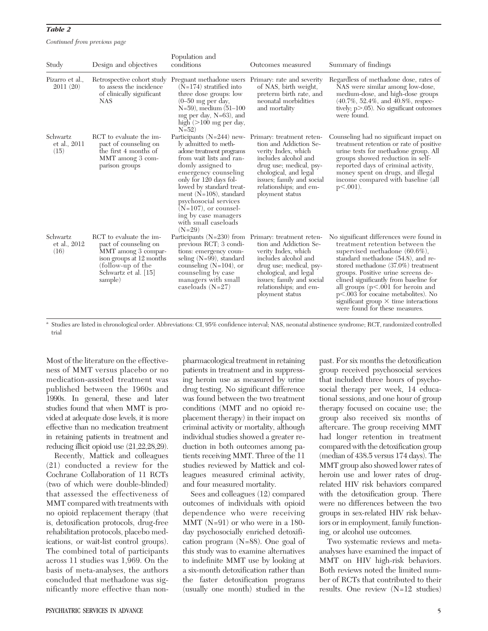Continued from previous page

| Study                            | Design and objectives                                                                                                                                       | Population and<br>conditions                                                                                                                                                                                                                                                                                                                                | Outcomes measured                                                                                                                                                                                                                                            | Summary of findings                                                                                                                                                                                                                                                                                                                                                                                                                           |
|----------------------------------|-------------------------------------------------------------------------------------------------------------------------------------------------------------|-------------------------------------------------------------------------------------------------------------------------------------------------------------------------------------------------------------------------------------------------------------------------------------------------------------------------------------------------------------|--------------------------------------------------------------------------------------------------------------------------------------------------------------------------------------------------------------------------------------------------------------|-----------------------------------------------------------------------------------------------------------------------------------------------------------------------------------------------------------------------------------------------------------------------------------------------------------------------------------------------------------------------------------------------------------------------------------------------|
| Pizarro et al.,<br>2011(20)      | to assess the incidence<br>of clinically significant<br><b>NAS</b>                                                                                          | Retrospective cohort study Pregnant methadone users Primary: rate and severity<br>$(N=174)$ stratified into<br>three dose groups: low<br>$(0-50$ mg per day,<br>$N=59$ , medium $(51-100)$<br>mg per day, $N=63$ ), and<br>high $(>100 \text{ mg per day},$<br>$N = 52$                                                                                     | of NAS, birth weight,<br>preterm birth rate, and<br>neonatal morbidities<br>and mortality                                                                                                                                                                    | Regardless of methadone dose, rates of<br>NAS were similar among low-dose,<br>medium-dose, and high-dose groups<br>$(40.7\%, 52.4\%, \text{ and } 40.8\%, \text{ respec-}$<br>tively; $p > 0.05$ ). No significant outcomes<br>were found.                                                                                                                                                                                                    |
| Schwartz<br>et al., 2011<br>(15) | RCT to evaluate the im-<br>pact of counseling on<br>the first 4 months of<br>MMT among 3 com-<br>parison groups                                             | Participants $(N=244)$ new-<br>ly admitted to meth-<br>adone treatment programs<br>from wait lists and ran-<br>domly assigned to<br>emergency counseling<br>only for 120 days fol-<br>lowed by standard treat-<br>ment $(N=108)$ , standard<br>psychosocial services<br>$(N=107)$ , or counsel-<br>ing by case managers<br>with small caseloads<br>$(N=29)$ | Primary: treatment reten-<br>tion and Addiction Se-<br>verity Index, which<br>includes alcohol and<br>drug use; medical, psy-<br>chological, and legal<br>issues; family and social<br>relationships; and em-<br>ployment status                             | Counseling had no significant impact on<br>treatment retention or rate of positive<br>urine tests for methadone group. All<br>groups showed reduction in self-<br>reported days of criminal activity,<br>money spent on drugs, and illegal<br>income compared with baseline (all<br>$p<.001$ ).                                                                                                                                               |
| Schwartz<br>et al., 2012<br>(16) | RCT to evaluate the im-<br>pact of counseling on<br>MMT among 3 compar-<br>ison groups at 12 months<br>(follow-up of the<br>Schwartz et al. [15]<br>sample) | previous RCT; 3 condi-<br>tions: emergency coun-<br>seling $(N=99)$ , standard<br>counseling $(N=104)$ , or<br>counseling by case<br>managers with small<br>caseloads $(N=27)$                                                                                                                                                                              | Participants $(N=230)$ from Primary: treatment reten-<br>tion and Addiction Se-<br>verity Index, which<br>includes alcohol and<br>drug use; medical, psy-<br>chological, and legal<br>issues; family and social<br>relationships; and em-<br>ployment status | No significant differences were found in<br>treatment retention between the<br>supervised methadone (60.6%),<br>standard methadone (54.8), and re-<br>stored methadone $(37.0\%)$ treatment<br>groups. Positive urine screens de-<br>clined significantly from baseline for<br>all groups $(p<.001$ for heroin and<br>$p<.003$ for cocaine metabolites). No<br>significant group $\times$ time interactions<br>were found for these measures. |

a Studies are listed in chronological order. Abbreviations: CI, 95% confidence interval; NAS, neonatal abstinence syndrome; RCT, randomized controlled trial

Most of the literature on the effectiveness of MMT versus placebo or no medication-assisted treatment was published between the 1960s and 1990s. In general, these and later studies found that when MMT is provided at adequate dose levels, it is more effective than no medication treatment in retaining patients in treatment and reducing illicit opioid use (21,22,28,29).

Recently, Mattick and colleagues (21) conducted a review for the Cochrane Collaboration of 11 RCTs (two of which were double-blinded) that assessed the effectiveness of MMT compared with treatments with no opioid replacement therapy (that is, detoxification protocols, drug-free rehabilitation protocols, placebo medications, or wait-list control groups). The combined total of participants across 11 studies was 1,969. On the basis of meta-analyses, the authors concluded that methadone was significantly more effective than nonpharmacological treatment in retaining patients in treatment and in suppressing heroin use as measured by urine drug testing. No significant difference was found between the two treatment conditions (MMT and no opioid replacement therapy) in their impact on criminal activity or mortality, although individual studies showed a greater reduction in both outcomes among patients receiving MMT. Three of the 11 studies reviewed by Mattick and colleagues measured criminal activity, and four measured mortality.

Sees and colleagues (12) compared outcomes of individuals with opioid dependence who were receiving MMT (N=91) or who were in a 180 day psychosocially enriched detoxification program (N=88). One goal of this study was to examine alternatives to indefinite MMT use by looking at a six-month detoxification rather than the faster detoxification programs (usually one month) studied in the past. For six months the detoxification group received psychosocial services that included three hours of psychosocial therapy per week, 14 educational sessions, and one hour of group therapy focused on cocaine use; the group also received six months of aftercare. The group receiving MMT had longer retention in treatment compared with the detoxification group (median of 438.5 versus 174 days). The MMT group also showed lower rates of heroin use and lower rates of drugrelated HIV risk behaviors compared with the detoxification group. There were no differences between the two groups in sex-related HIV risk behaviors or in employment, family functioning, or alcohol use outcomes.

Two systematic reviews and metaanalyses have examined the impact of MMT on HIV high-risk behaviors. Both reviews noted the limited number of RCTs that contributed to their results. One review (N=12 studies)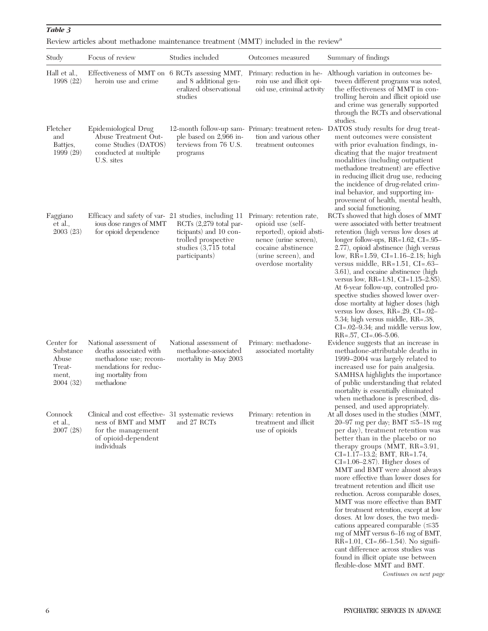| Review articles about methadone maintenance treatment (MMT) included in the review <sup>a</sup> |  |  |
|-------------------------------------------------------------------------------------------------|--|--|
|-------------------------------------------------------------------------------------------------|--|--|

| Study                                                            | Focus of review                                                                                                                       | Studies included                                                                                                           | Outcomes measured                                                                                                                                                     | Summary of findings                                                                                                                                                                                                                                                                                                                                                                                                                                                                                                                                                                                                                                                                                                                                                                    |
|------------------------------------------------------------------|---------------------------------------------------------------------------------------------------------------------------------------|----------------------------------------------------------------------------------------------------------------------------|-----------------------------------------------------------------------------------------------------------------------------------------------------------------------|----------------------------------------------------------------------------------------------------------------------------------------------------------------------------------------------------------------------------------------------------------------------------------------------------------------------------------------------------------------------------------------------------------------------------------------------------------------------------------------------------------------------------------------------------------------------------------------------------------------------------------------------------------------------------------------------------------------------------------------------------------------------------------------|
| Hall et al.,<br>1998 (22)                                        | Effectiveness of MMT on 6 RCTs assessing MMT,<br>heroin use and crime                                                                 | and 8 additional gen-<br>eralized observational<br>studies                                                                 | roin use and illicit opi-<br>oid use, criminal activity                                                                                                               | Primary: reduction in he- Although variation in outcomes be-<br>tween different programs was noted,<br>the effectiveness of MMT in con-<br>trolling heroin and illicit opioid use<br>and crime was generally supported<br>through the RCTs and observational<br>studies.                                                                                                                                                                                                                                                                                                                                                                                                                                                                                                               |
| Fletcher<br>and<br>Battjes,<br>1999(29)                          | Epidemiological Drug<br>Abuse Treatment Out-<br>come Studies (DATOS)<br>conducted at multiple<br>U.S. sites                           | ple based on 2,966 in-<br>terviews from 76 U.S.<br>programs                                                                | tion and various other<br>treatment outcomes                                                                                                                          | 12-month follow-up sam- Primary: treatment reten- DATOS study results for drug treat-<br>ment outcomes were consistent<br>with prior evaluation findings, in-<br>dicating that the major treatment<br>modalities (including outpatient<br>methadone treatment) are effective<br>in reducing illicit drug use, reducing<br>the incidence of drug-related crim-<br>inal behavior, and supporting im-<br>provement of health, mental health,<br>and social functioning.                                                                                                                                                                                                                                                                                                                   |
| Faggiano<br>et al.,<br>2003(23)                                  | Efficacy and safety of var- 21 studies, including 11<br>ious dose ranges of MMT<br>for opioid dependence                              | RCTs $(2,279 \text{ total par-}$<br>ticipants) and 10 con-<br>trolled prospective<br>studies (3,715 total<br>participants) | Primary: retention rate,<br>opioid use (self-<br>reported), opioid absti-<br>nence (urine screen),<br>cocaine abstinence<br>(urine screen), and<br>overdose mortality | RCTs showed that high doses of MMT<br>were associated with better treatment<br>retention (high versus low doses at<br>longer follow-ups, RR=1.62, CI=.95-<br>2.77), opioid abstinence (high versus<br>low, $R\overline{R} = 1.59$ , $CI = 1.16 - 2.18$ ; high<br>versus middle, RR=1.51, CI=.63-<br>3.61), and cocaine abstinence (high<br>versus low, RR=1.81, CI=1.15-2.85).<br>At 6-year follow-up, controlled pro-<br>spective studies showed lower over-<br>dose mortality at higher doses (high<br>versus low doses, $RR = .29$ , $CI = .02-$<br>5.34; high versus middle, RR=.38,<br>$CI = .02 - 9.34$ ; and middle versus low,<br>$RR = .57$ , $CI = .06 - 5.06$ .                                                                                                             |
| Center for<br>Substance<br>Abuse<br>Treat-<br>ment,<br>2004 (32) | National assessment of<br>deaths associated with<br>methadone use; recom-<br>mendations for reduc-<br>ing mortality from<br>methadone | National assessment of<br>methadone-associated<br>mortality in May 2003                                                    | Primary: methadone-<br>associated mortality                                                                                                                           | Evidence suggests that an increase in<br>methadone-attributable deaths in<br>1999-2004 was largely related to<br>increased use for pain analgesia.<br>SAMHSA highlights the importance<br>of public understanding that related<br>mortality is essentially eliminated<br>when methadone is prescribed, dis-<br>pensed, and used appropriately.                                                                                                                                                                                                                                                                                                                                                                                                                                         |
| Connock<br>et al.,<br>2007(28)                                   | Clinical and cost effective- 31 systematic reviews<br>ness of BMT and MMT<br>for the management<br>of opioid-dependent<br>individuals | and 27 RCTs                                                                                                                | Primary: retention in<br>treatment and illicit<br>use of opioids                                                                                                      | At all doses used in the studies (MMT,<br>20–97 mg per day; BMT $\leq$ 5–18 mg<br>per day), treatment retention was<br>better than in the placebo or no<br>therapy groups (MMT, RR=3.91,<br>$CI = 1.17 - 13.2$ ; BMT, RR=1.74,<br>$CI = 1.06 - 2.87$ . Higher doses of<br>MMT and BMT were almost always<br>more effective than lower doses for<br>treatment retention and illicit use<br>reduction. Across comparable doses,<br>MMT was more effective than BMT<br>for treatment retention, except at low<br>doses. At low doses, the two medi-<br>cations appeared comparable $(\leq 35)$<br>mg of MMT versus 6-16 mg of BMT,<br>$RR=1.01$ , $CI=.66-1.54$ ). No signifi-<br>cant difference across studies was<br>found in illicit opiate use between<br>flexible-dose MMT and BMT. |

Continues on next page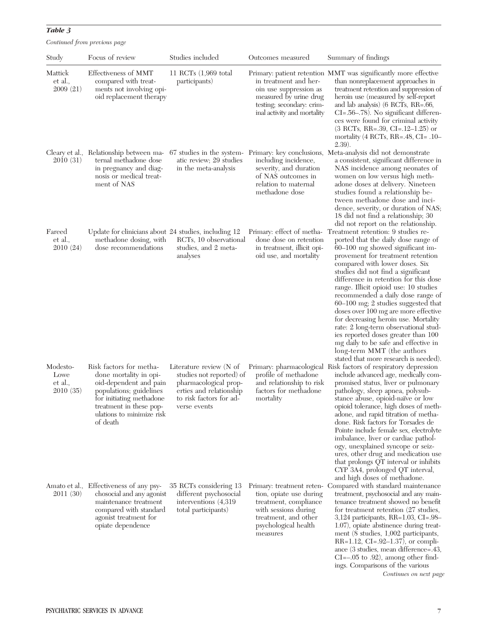| Study                                   | Focus of review                                                                                                                                                                                        | Studies included                                                                                                                                   | Outcomes measured                                                                                                                     | Summary of findings                                                                                                                                                                                                                                                                                                                                                                                                                                                                                                                                                                                                                                                       |
|-----------------------------------------|--------------------------------------------------------------------------------------------------------------------------------------------------------------------------------------------------------|----------------------------------------------------------------------------------------------------------------------------------------------------|---------------------------------------------------------------------------------------------------------------------------------------|---------------------------------------------------------------------------------------------------------------------------------------------------------------------------------------------------------------------------------------------------------------------------------------------------------------------------------------------------------------------------------------------------------------------------------------------------------------------------------------------------------------------------------------------------------------------------------------------------------------------------------------------------------------------------|
| Mattick<br>et al.,<br>2009(21)          | Effectiveness of MMT<br>compared with treat-<br>ments not involving opi-<br>oid replacement therapy                                                                                                    | 11 RCTs $(1,969 \text{ total})$<br>participants)                                                                                                   | in treatment and her-<br>oin use suppression as<br>measured by urine drug<br>testing; secondary: crim-<br>inal activity and mortality | Primary: patient retention MMT was significantly more effective<br>than nonreplacement approaches in<br>treatment retention and suppression of<br>heroin use (measured by self-report<br>and lab analysis) (6 RCTs, RR=.66,<br>CI=.56-.78). No significant differen-<br>ces were found for criminal activity<br>$(3 RCTs, RR=.39, CI=.12–1.25)$ or<br>mortality $(4 \text{ RCTs}, \text{ RR} = .48, \text{ CI} = .10-$<br>$2.39$ ).                                                                                                                                                                                                                                       |
| 2010(31)                                | Cleary et al., Relationship between ma-<br>ternal methadone dose<br>in pregnancy and diag-<br>nosis or medical treat-<br>ment of NAS                                                                   | atic review; 29 studies<br>in the meta-analysis                                                                                                    | including incidence,<br>severity, and duration<br>of NAS outcomes in<br>relation to maternal<br>methadone dose                        | 67 studies in the system- Primary: key conclusions, Meta-analysis did not demonstrate<br>a consistent, significant difference in<br>NAS incidence among neonates of<br>women on low versus high meth-<br>adone doses at delivery. Nineteen<br>studies found a relationship be-<br>tween methadone dose and inci-<br>dence, severity, or duration of NAS;<br>18 did not find a relationship; 30<br>did not report on the relationship.                                                                                                                                                                                                                                     |
| Fareed<br>et al.,<br>2010(24)           | Update for clinicians about 24 studies, including 12<br>methadone dosing, with<br>dose recommendations                                                                                                 | RCTs, 10 observational<br>studies, and 2 meta-<br>analyses                                                                                         | Primary: effect of metha-<br>done dose on retention<br>in treatment, illicit opi-<br>oid use, and mortality                           | Treatment retention: 9 studies re-<br>ported that the daily dose range of<br>60-100 mg showed significant im-<br>provement for treatment retention<br>compared with lower doses. Six<br>studies did not find a significant<br>difference in retention for this dose<br>range. Illicit opioid use: 10 studies<br>recommended a daily dose range of<br>$60-100$ mg; 2 studies suggested that<br>doses over 100 mg are more effective<br>for decreasing heroin use. Mortality<br>rate: 2 long-term observational stud-<br>ies reported doses greater than 100<br>mg daily to be safe and effective in<br>long-term MMT (the authors<br>stated that more research is needed). |
| Modesto-<br>Lowe<br>et al.,<br>2010(35) | Risk factors for metha-<br>done mortality in opi-<br>oid-dependent and pain<br>populations; guidelines<br>for initiating methadone<br>treatment in these pop-<br>ulations to minimize risk<br>of death | Literature review (N of<br>studies not reported) of<br>pharmacological prop-<br>erties and relationship<br>to risk factors for ad-<br>verse events | profile of methadone<br>and relationship to risk<br>factors for methadone<br>mortality                                                | Primary: pharmacological Risk factors of respiratory depression<br>include advanced age, medically com-<br>promised status, liver or pulmonary<br>pathology, sleep apnea, polysub-<br>stance abuse, opioid-naïve or low<br>opioid tolerance, high doses of meth-<br>adone, and rapid titration of metha-<br>done. Risk factors for Torsades de<br>Pointe include female sex, electrolyte<br>imbalance, liver or cardiac pathol-<br>ogy, unexplained syncope or seiz-<br>ures, other drug and medication use<br>that prolongs QT interval or inhibits<br>CYP 3A4, prolonged QT interval,                                                                                   |
| 2011 (30)                               | Amato et al., Effectiveness of any psy-<br>chosocial and any agonist<br>maintenance treatment<br>compared with standard<br>agonist treatment for<br>opiate dependence                                  | 35 RCTs considering 13<br>different psychosocial<br>interventions (4,319)<br>total participants)                                                   | tion, opiate use during<br>treatment, compliance<br>with sessions during<br>treatment, and other<br>psychological health<br>measures  | and high doses of methadone.<br>Primary: treatment reten- Compared with standard maintenance<br>treatment, psychosocial and any main-<br>tenance treatment showed no benefit<br>for treatment retention (27 studies,<br>3,124 participants, RR=1.03, CI=.98–<br>1.07), opiate abstinence during treat-<br>ment (8 studies, 1,002 participants,<br>RR=1.12, CI=.92-1.37), or compli-<br>ance (3 studies, mean difference=.43,<br>$CI = -.05$ to $.92$ ), among other find-<br>ings. Comparisons of the various                                                                                                                                                             |

Continued from previous page

Table 3

Continues on next page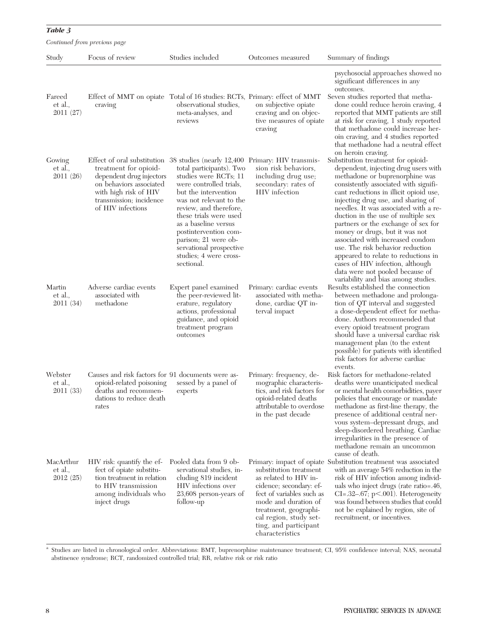| Continued from previous page     |                                                                                                                                                                                                                                       |                                                                                                                                                                                                                                                                                                                                 |                                                                                                                                                                                                                                |                                                                                                                                                                                                                                                                                                                                                                                                                                                                                                                                                                                                           |  |
|----------------------------------|---------------------------------------------------------------------------------------------------------------------------------------------------------------------------------------------------------------------------------------|---------------------------------------------------------------------------------------------------------------------------------------------------------------------------------------------------------------------------------------------------------------------------------------------------------------------------------|--------------------------------------------------------------------------------------------------------------------------------------------------------------------------------------------------------------------------------|-----------------------------------------------------------------------------------------------------------------------------------------------------------------------------------------------------------------------------------------------------------------------------------------------------------------------------------------------------------------------------------------------------------------------------------------------------------------------------------------------------------------------------------------------------------------------------------------------------------|--|
| Study                            | Focus of review                                                                                                                                                                                                                       | Studies included                                                                                                                                                                                                                                                                                                                | Outcomes measured                                                                                                                                                                                                              | Summary of findings                                                                                                                                                                                                                                                                                                                                                                                                                                                                                                                                                                                       |  |
| Fareed<br>et al.,<br>2011(27)    | Effect of MMT on opiate Total of 16 studies: RCTs, Primary: effect of MMT<br>craving                                                                                                                                                  | observational studies,<br>meta-analyses, and<br>reviews                                                                                                                                                                                                                                                                         | on subjective opiate<br>craving and on objec-<br>tive measures of opiate<br>craving                                                                                                                                            | psychosocial approaches showed no<br>significant differences in any<br>outcomes.<br>Seven studies reported that metha-<br>done could reduce heroin craving, 4<br>reported that MMT patients are still<br>at risk for craving, 1 study reported<br>that methadone could increase her-<br>oin craving, and 4 studies reported<br>that methadone had a neutral effect                                                                                                                                                                                                                                        |  |
| Gowing<br>et al.,<br>2011(26)    | Effect of oral substitution 38 studies (nearly 12,400 Primary: HIV transmis-<br>treatment for opioid-<br>dependent drug injectors<br>on behaviors associated<br>with high risk of HIV<br>transmission; incidence<br>of HIV infections | total participants). Two<br>studies were RCTs; 11<br>were controlled trials,<br>but the intervention<br>was not relevant to the<br>review, and therefore,<br>these trials were used<br>as a baseline versus<br>postintervention com-<br>parison; 21 were ob-<br>servational prospective<br>studies; 4 were cross-<br>sectional. | sion risk behaviors,<br>including drug use;<br>secondary: rates of<br>HIV infection                                                                                                                                            | on heroin craving.<br>Substitution treatment for opioid-<br>dependent, injecting drug users with<br>methadone or buprenorphine was<br>consistently associated with signifi-<br>cant reductions in illicit opioid use,<br>injecting drug use, and sharing of<br>needles. It was associated with a re-<br>duction in the use of multiple sex<br>partners or the exchange of sex for<br>money or drugs, but it was not<br>associated with increased condom<br>use. The risk behavior reduction<br>appeared to relate to reductions in<br>cases of HIV infection, although<br>data were not pooled because of |  |
| Martin<br>et al.,<br>2011 (34)   | Adverse cardiac events<br>associated with<br>methadone                                                                                                                                                                                | Expert panel examined<br>the peer-reviewed lit-<br>erature, regulatory<br>actions, professional<br>guidance, and opioid<br>treatment program<br>outcomes                                                                                                                                                                        | Primary: cardiac events<br>associated with metha-<br>done, cardiac QT in-<br>terval impact                                                                                                                                     | variability and bias among studies.<br>Results established the connection<br>between methadone and prolonga-<br>tion of QT interval and suggested<br>a dose-dependent effect for metha-<br>done. Authors recommended that<br>every opioid treatment program<br>should have a universal cardiac risk<br>management plan (to the extent<br>possible) for patients with identified<br>risk factors for adverse cardiac                                                                                                                                                                                       |  |
| Webster<br>et al.,<br>2011 (33)  | Causes and risk factors for 91 documents were as-<br>opioid-related poisoning<br>deaths and recommen-<br>dations to reduce death<br>rates                                                                                             | sessed by a panel of<br>experts                                                                                                                                                                                                                                                                                                 | Primary: frequency, de-<br>mographic characteris-<br>tics, and risk factors for<br>opioid-related deaths<br>attributable to overdose<br>in the past decade                                                                     | events.<br>Risk factors for methadone-related<br>deaths were unanticipated medical<br>or mental health comorbidities, payer<br>policies that encourage or mandate<br>methadone as first-line therapy, the<br>presence of additional central ner-<br>vous system-depressant drugs, and<br>sleep-disordered breathing. Cardiac<br>irregularities in the presence of<br>methadone remain an uncommon<br>cause of death.                                                                                                                                                                                      |  |
| MacArthur<br>et al.,<br>2012(25) | HIV risk: quantify the ef-<br>fect of opiate substitu-<br>tion treatment in relation<br>to HIV transmission<br>among individuals who<br>inject drugs                                                                                  | Pooled data from 9 ob-<br>servational studies, in-<br>cluding 819 incident<br>HIV infections over<br>23,608 person-years of<br>follow-up                                                                                                                                                                                        | substitution treatment<br>as related to HIV in-<br>cidence; secondary: ef-<br>fect of variables such as<br>mode and duration of<br>treatment, geographi-<br>cal region, study set-<br>ting, and participant<br>characteristics | Primary: impact of opiate Substitution treatment was associated<br>with an average 54% reduction in the<br>risk of HIV infection among individ-<br>uals who inject drugs (rate ratio=.46,<br>$CI = .32-.67$ ; $p < .001$ ). Heterogeneity<br>was found between studies that could<br>not be explained by region, site of<br>recruitment, or incentives.                                                                                                                                                                                                                                                   |  |

a Studies are listed in chronological order. Abbreviations: BMT, buprenorphine maintenance treatment; CI, 95% confidence interval; NAS, neonatal abstinence syndrome; RCT, randomized controlled trial; RR, relative risk or risk ratio

Table 3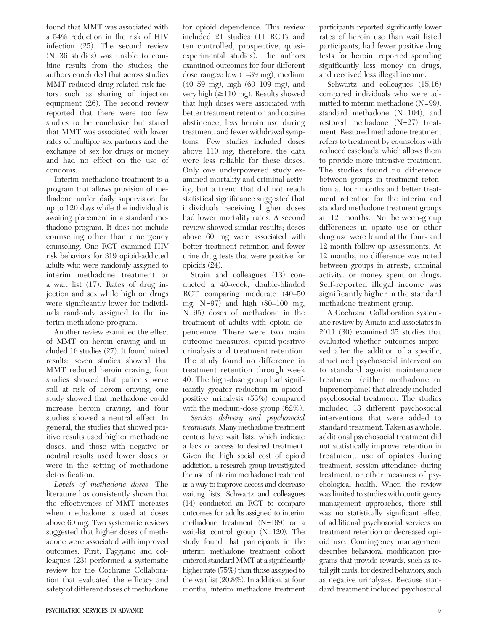found that MMT was associated with a 54% reduction in the risk of HIV infection (25). The second review (N=36 studies) was unable to combine results from the studies; the authors concluded that across studies MMT reduced drug-related risk factors such as sharing of injection equipment (26). The second review reported that there were too few studies to be conclusive but stated that MMT was associated with lower rates of multiple sex partners and the exchange of sex for drugs or money and had no effect on the use of condoms.

Interim methadone treatment is a program that allows provision of methadone under daily supervision for up to 120 days while the individual is awaiting placement in a standard methadone program. It does not include counseling other than emergency counseling. One RCT examined HIV risk behaviors for 319 opioid-addicted adults who were randomly assigned to interim methadone treatment or a wait list (17). Rates of drug injection and sex while high on drugs were significantly lower for individuals randomly assigned to the interim methadone program.

Another review examined the effect of MMT on heroin craving and included 16 studies (27). It found mixed results; seven studies showed that MMT reduced heroin craving, four studies showed that patients were still at risk of heroin craving, one study showed that methadone could increase heroin craving, and four studies showed a neutral effect. In general, the studies that showed positive results used higher methadone doses, and those with negative or neutral results used lower doses or were in the setting of methadone detoxification.

Levels of methadone doses. The literature has consistently shown that the effectiveness of MMT increases when methadone is used at doses above 60 mg. Two systematic reviews suggested that higher doses of methadone were associated with improved outcomes. First, Faggiano and colleagues (23) performed a systematic review for the Cochrane Collaboration that evaluated the efficacy and safety of different doses of methadone

for opioid dependence. This review included 21 studies (11 RCTs and ten controlled, prospective, quasiexperimental studies). The authors examined outcomes for four different dose ranges: low (1–39 mg), medium (40–59 mg), high (60–109 mg), and very high  $(\geq 110 \text{ mg})$ . Results showed that high doses were associated with better treatment retention and cocaine abstinence, less heroin use during treatment, and fewer withdrawal symptoms. Few studies included doses above 110 mg; therefore, the data were less reliable for these doses. Only one underpowered study examined mortality and criminal activity, but a trend that did not reach statistical significance suggested that individuals receiving higher doses had lower mortality rates. A second review showed similar results; doses above 60 mg were associated with better treatment retention and fewer urine drug tests that were positive for opioids (24).

Strain and colleagues (13) conducted a 40-week, double-blinded RCT comparing moderate (40–50 mg, N=97) and high (80–100 mg, N=95) doses of methadone in the treatment of adults with opioid dependence. There were two main outcome measures: opioid-positive urinalysis and treatment retention. The study found no difference in treatment retention through week 40. The high-dose group had significantly greater reduction in opioidpositive urinalysis (53%) compared with the medium-dose group (62%).

Service delivery and psychosocial treatments. Many methadone treatment centers have wait lists, which indicate a lack of access to desired treatment. Given the high social cost of opioid addiction, a research group investigated the use of interim methadone treatment as a way to improve access and decrease waiting lists. Schwartz and colleagues (14) conducted an RCT to compare outcomes for adults assigned to interim methadone treatment (N=199) or a wait-list control group (N=120). The study found that participants in the interim methadone treatment cohort entered standard MMT at a significantly higher rate (75%) than those assigned to the wait list (20.8%). In addition, at four months, interim methadone treatment

participants reported significantly lower rates of heroin use than wait listed participants, had fewer positive drug tests for heroin, reported spending significantly less money on drugs, and received less illegal income.

Schwartz and colleagues (15,16) compared individuals who were admitted to interim methadone (N=99), standard methadone (N=104), and restored methadone (N=27) treatment. Restored methadone treatment refers to treatment by counselors with reduced caseloads, which allows them to provide more intensive treatment. The studies found no difference between groups in treatment retention at four months and better treatment retention for the interim and standard methadone treatment groups at 12 months. No between-group differences in opiate use or other drug use were found at the four- and 12-month follow-up assessments. At 12 months, no difference was noted between groups in arrests, criminal activity, or money spent on drugs. Self-reported illegal income was significantly higher in the standard methadone treatment group.

A Cochrane Collaboration systematic review by Amato and associates in 2011 (30) examined 35 studies that evaluated whether outcomes improved after the addition of a specific, structured psychosocial intervention to standard agonist maintenance treatment (either methadone or buprenorphine) that already included psychosocial treatment. The studies included 13 different psychosocial interventions that were added to standard treatment. Taken as a whole, additional psychosocial treatment did not statistically improve retention in treatment, use of opiates during treatment, session attendance during treatment, or other measures of psychological health. When the review was limited to studies with contingency management approaches, there still was no statistically significant effect of additional psychosocial services on treatment retention or decreased opioid use. Contingency management describes behavioral modification programs that provide rewards, such as retail gift cards, for desired behaviors, such as negative urinalyses. Because standard treatment included psychosocial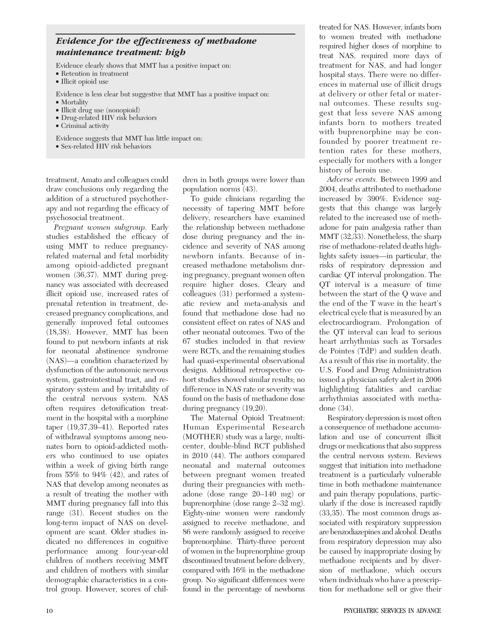# Evidence for the effectiveness of methadone maintenance treatment: high

Evidence clearly shows that MMT has a positive impact on:

- Retention in treatment
- Illicit opioid use

Evidence is less clear but suggestive that MMT has a positive impact on:

- Mortality
- Illicit drug use (nonopioid)
- Drug-related HIV risk behaviors • Criminal activity
- 

Evidence suggests that MMT has little impact on:

• Sex-related HIV risk behaviors

treatment, Amato and colleagues could draw conclusions only regarding the addition of a structured psychotherapy and not regarding the efficacy of psychosocial treatment.

Pregnant women subgroup. Early studies established the efficacy of using MMT to reduce pregnancyrelated maternal and fetal morbidity among opioid-addicted pregnant women (36,37). MMT during pregnancy was associated with decreased illicit opioid use, increased rates of prenatal retention in treatment, decreased pregnancy complications, and generally improved fetal outcomes (18,38). However, MMT has been found to put newborn infants at risk for neonatal abstinence syndrome (NAS)—a condition characterized by dysfunction of the autonomic nervous system, gastrointestinal tract, and respiratory system and by irritability of the central nervous system. NAS often requires detoxification treatment in the hospital with a morphine taper (19,37,39–41). Reported rates of withdrawal symptoms among neonates born to opioid-addicted mothers who continued to use opiates within a week of giving birth range from 55% to 94% (42), and rates of NAS that develop among neonates as a result of treating the mother with MMT during pregnancy fall into this range (31). Recent studies on the long-term impact of NAS on development are scant. Older studies indicated no differences in cognitive performance among four-year-old children of mothers receiving MMT and children of mothers with similar demographic characteristics in a control group. However, scores of children in both groups were lower than population norms (43).

To guide clinicians regarding the necessity of tapering MMT before delivery, researchers have examined the relationship between methadone dose during pregnancy and the incidence and severity of NAS among newborn infants. Because of increased methadone metabolism during pregnancy, pregnant women often require higher doses. Cleary and colleagues (31) performed a systematic review and meta-analysis and found that methadone dose had no consistent effect on rates of NAS and other neonatal outcomes. Two of the 67 studies included in that review were RCTs, and the remaining studies had quasi-experimental observational designs. Additional retrospective cohort studies showed similar results; no difference in NAS rate or severity was found on the basis of methadone dose during pregnancy (19,20).

The Maternal Opioid Treatment: Human Experimental Research (MOTHER) study was a large, multicenter, double-blind RCT published in 2010 (44). The authors compared neonatal and maternal outcomes between pregnant women treated during their pregnancies with methadone (dose range 20–140 mg) or buprenorphine (dose range 2–32 mg). Eighty-nine women were randomly assigned to receive methadone, and 86 were randomly assigned to receive buprenorphine. Thirty-three percent of women in the buprenorphine group discontinued treatment before delivery, compared with 16% in the methadone group. No significant differences were found in the percentage of newborns treated for NAS. However, infants born to women treated with methadone required higher doses of morphine to treat NAS, required more days of treatment for NAS, and had longer hospital stays. There were no differences in maternal use of illicit drugs at delivery or other fetal or maternal outcomes. These results suggest that less severe NAS among infants born to mothers treated with buprenorphine may be confounded by poorer treatment retention rates for these mothers, especially for mothers with a longer history of heroin use.

Adverse events. Between 1999 and 2004, deaths attributed to methadone increased by 390%. Evidence suggests that this change was largely related to the increased use of methadone for pain analgesia rather than MMT (32,33). Nonetheless, the sharp rise of methadone-related deaths highlights safety issues—in particular, the risks of respiratory depression and cardiac QT interval prolongation. The QT interval is a measure of time between the start of the Q wave and the end of the T wave in the heart's electrical cycle that is measured by an electrocardiogram. Prolongation of the QT interval can lead to serious heart arrhythmias such as Torsades de Pointes (TdP) and sudden death. As a result of this rise in mortality, the U.S. Food and Drug Administration issued a physician safety alert in 2006 highlighting fatalities and cardiac arrhythmias associated with methadone (34).

Respiratory depression is most often a consequence of methadone accumulation and use of concurrent illicit drugs or medications that also suppress the central nervous system. Reviews suggest that initiation into methadone treatment is a particularly vulnerable time in both methadone maintenance and pain therapy populations, particularly if the dose is increased rapidly (33,35). The most common drugs associated with respiratory suppression are benzodiazepines and alcohol. Deaths from respiratory depression may also be caused by inappropriate dosing by methadone recipients and by diversion of methadone, which occurs when individuals who have a prescription for methadone sell or give their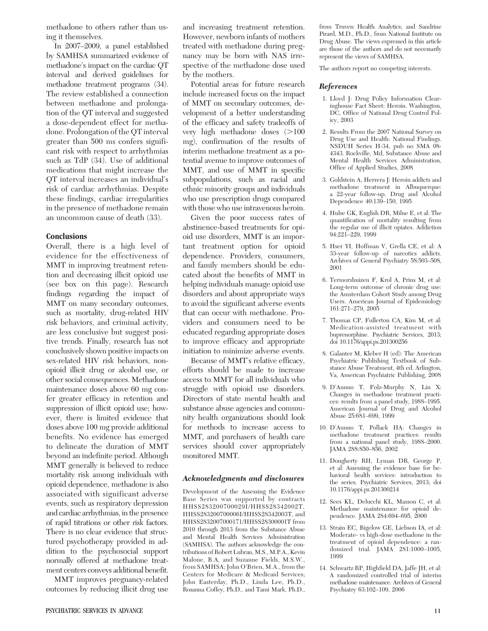methadone to others rather than using it themselves.

In 2007–2009, a panel established by SAMHSA summarized evidence of methadone's impact on the cardiac QT interval and derived guidelines for methadone treatment programs (34). The review established a connection between methadone and prolongation of the QT interval and suggested a dose-dependent effect for methadone. Prolongation of the QT interval greater than 500 ms confers significant risk with respect to arrhythmias such as TdP (34). Use of additional medications that might increase the QT interval increases an individual's risk of cardiac arrhythmias. Despite these findings, cardiac irregularities in the presence of methadone remain an uncommon cause of death (33).

### **Conclusions**

Overall, there is a high level of evidence for the effectiveness of MMT in improving treatment retention and decreasing illicit opioid use (see box on this page). Research findings regarding the impact of MMT on many secondary outcomes, such as mortality, drug-related HIV risk behaviors, and criminal activity, are less conclusive but suggest positive trends. Finally, research has not conclusively shown positive impacts on sex-related HIV risk behaviors, nonopioid illicit drug or alcohol use, or other social consequences. Methadone maintenance doses above 60 mg confer greater efficacy in retention and suppression of illicit opioid use; however, there is limited evidence that doses above 100 mg provide additional benefits. No evidence has emerged to delineate the duration of MMT beyond an indefinite period. Although MMT generally is believed to reduce mortality risk among individuals with opioid dependence, methadone is also associated with significant adverse events, such as respiratory depression and cardiac arrhythmias, in the presence of rapid titrations or other risk factors. There is no clear evidence that structured psychotherapy provided in addition to the psychosocial support normally offered at methadone treatment centers conveys additional benefit.

MMT improves pregnancy-related outcomes by reducing illicit drug use

Potential areas for future research include increased focus on the impact of MMT on secondary outcomes, development of a better understanding of the efficacy and safety tradeoffs of very high methadone doses  $(>100$ mg), confirmation of the results of interim methadone treatment as a potential avenue to improve outcomes of MMT, and use of MMT in specific subpopulations, such as racial and ethnic minority groups and individuals who use prescription drugs compared with those who use intravenous heroin.

Given the poor success rates of abstinence-based treatments for opioid use disorders, MMT is an important treatment option for opioid dependence. Providers, consumers, and family members should be educated about the benefits of MMT in helping individuals manage opioid use disorders and about appropriate ways to avoid the significant adverse events that can occur with methadone. Providers and consumers need to be educated regarding appropriate doses to improve efficacy and appropriate initiation to minimize adverse events.

Because of MMT's relative efficacy, efforts should be made to increase access to MMT for all individuals who struggle with opioid use disorders. Directors of state mental health and substance abuse agencies and community health organizations should look for methods to increase access to MMT, and purchasers of health care services should cover appropriately monitored MMT.

## Acknowledgments and disclosures

Development of the Assessing the Evidence Base Series was supported by contracts HHSS283200700029I/HHSS28342002T, HHSS283200700006I/HHSS28342003T, and HHSS2832007000171/HHSS28300001T from 2010 through 2013 from the Substance Abuse and Mental Health Services Administration (SAMHSA). The authors acknowledge the contributions of Robert Lubran, M.S., M.P.A., Kevin Malone, B.A, and Suzanne Fields, M.S.W., from SAMHSA; John O'Brien, M.A., from the Centers for Medicare & Medicaid Services; John Easterday, Ph.D., Linda Lee, Ph.D., Rosanna Coffey, Ph.D., and Tami Mark, Ph.D., from Truven Health Analytics; and Sandrine Pirard, M.D., Ph.D., from National Institute on Drug Abuse. The views expressed in this article are those of the authors and do not necessarily represent the views of SAMHSA.

The authors report no competing interests.

#### References

- 1. Lloyd J: Drug Policy Information Clearinghouse Fact Sheet: Heroin. Washington, DC, Office of National Drug Control Policy, 2003
- 2. Results From the 2007 National Survey on Drug Use and Health: National Findings. NSDUH Series H-34, pub no SMA 08- 4343. Rockville, Md, Substance Abuse and Mental Health Services Administration, Office of Applied Studies, 2008
- 3. Goldstein A, Herrera J: Heroin addicts and methadone treatment in Albuquerque: a 22-year follow-up. Drug and Alcohol Dependence 40:139–150, 1995
- 4. Hulse GK, English DR, Milne E, et al: The quantification of mortality resulting from the regular use of illicit opiates. Addiction 94:221–229, 1999
- 5. Hser YI, Hoffman V, Grella CE, et al: A 33-year follow-up of narcotics addicts. Archives of General Psychiatry 58:503–508, 2001
- 6. Termorshuizen F, Krol A, Prins M, et al: Long-term outcome of chronic drug use: the Amsterdam Cohort Study among Drug Users. American Journal of Epidemiology 161:271–279, 2005
- 7. Thomas CP, Fullerton CA, Kim M, et al: Medication-assisted treatment with buprenorphine. Psychiatric Services, 2013; doi 10.1176/appi.ps.201300256
- 8. Galanter M, Kleber H (ed): The American Psychiatric Publishing Textbook of Substance Abuse Treatment, 4th ed. Arlington, Va, American Psychiatric Publishing, 2008
- 9. D'Aunno T, Folz-Murphy N, Lin X: Changes in methadone treatment practices: results from a panel study, 1988–1995. American Journal of Drug and Alcohol Abuse 25:681–699, 1999
- 10. D'Aunno T, Pollack HA: Changes in methadone treatment practices: results from a national panel study, 1988–2000. JAMA 288:850–856, 2002
- 11. Dougherty RH, Lyman DR, George P, et al: Assessing the evidence base for behavioral health services: introduction to the series. Psychiatric Services, 2013; doi 10.1176/appi.ps.201300214
- 12. Sees KL, Delucchi KL, Masson C, et al: Methadone maintenance for opioid dependence. JAMA 284:694–695, 2000
- 13. Strain EC, Bigelow GE, Liebson IA, et al: Moderate- vs high-dose methadone in the treatment of opioid dependence: a randomized trial. JAMA 281:1000-1005, 1999
- 14. Schwartz RP, Highfield DA, Jaffe JH, et al: A randomized controlled trial of interim methadone maintenance. Archives of General Psychiatry 63:102–109, 2006